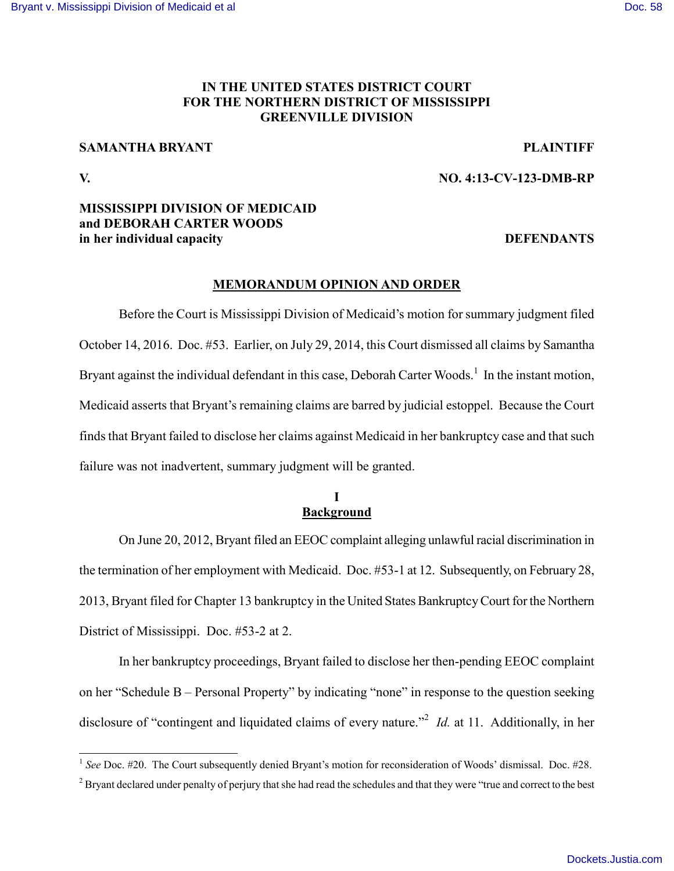# **IN THE UNITED STATES DISTRICT COURT FOR THE NORTHERN DISTRICT OF MISSISSIPPI GREENVILLE DIVISION**

# **SAMANTHA BRYANT PLAINTIFF**

 $\overline{a}$ 

### **V. NO. 4:13-CV-123-DMB-RP**

# **MISSISSIPPI DIVISION OF MEDICAID and DEBORAH CARTER WOODS in her individual capacity DEFENDANTS**

### **MEMORANDUM OPINION AND ORDER**

Before the Court is Mississippi Division of Medicaid's motion for summary judgment filed October 14, 2016. Doc. #53. Earlier, on July 29, 2014, this Court dismissed all claims by Samantha Bryant against the individual defendant in this case, Deborah Carter Woods.<sup>1</sup> In the instant motion, Medicaid asserts that Bryant's remaining claims are barred by judicial estoppel. Because the Court finds that Bryant failed to disclose her claims against Medicaid in her bankruptcy case and that such failure was not inadvertent, summary judgment will be granted.

# **I Background**

On June 20, 2012, Bryant filed an EEOC complaint alleging unlawful racial discrimination in the termination of her employment with Medicaid. Doc. #53-1 at 12. Subsequently, on February 28, 2013, Bryant filed for Chapter 13 bankruptcy in the United States Bankruptcy Court for the Northern District of Mississippi. Doc. #53-2 at 2.

In her bankruptcy proceedings, Bryant failed to disclose her then-pending EEOC complaint on her "Schedule B – Personal Property" by indicating "none" in response to the question seeking disclosure of "contingent and liquidated claims of every nature."<sup>2</sup> *Id.* at 11. Additionally, in her

<sup>&</sup>lt;sup>1</sup> See Doc. #20. The Court subsequently denied Bryant's motion for reconsideration of Woods' dismissal. Doc. #28.

<sup>&</sup>lt;sup>2</sup> Bryant declared under penalty of perjury that she had read the schedules and that they were "true and correct to the best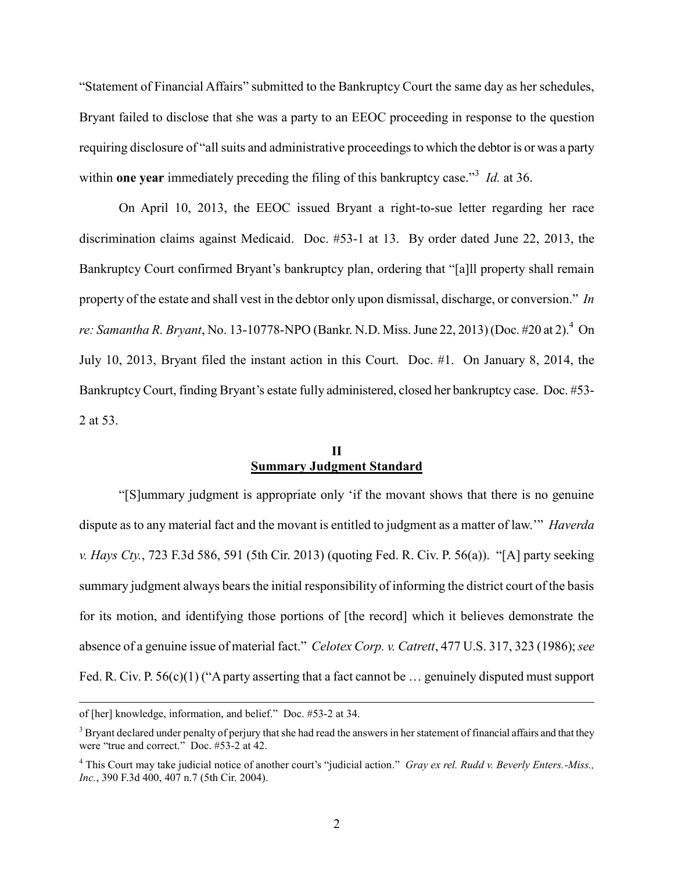"Statement of Financial Affairs" submitted to the Bankruptcy Court the same day as her schedules, Bryant failed to disclose that she was a party to an EEOC proceeding in response to the question requiring disclosure of "all suits and administrative proceedings to which the debtor is or was a party within **one year** immediately preceding the filing of this bankruptcy case.<sup>33</sup> *Id.* at 36.

On April 10, 2013, the EEOC issued Bryant a right-to-sue letter regarding her race discrimination claims against Medicaid. Doc. #53-1 at 13. By order dated June 22, 2013, the Bankruptcy Court confirmed Bryant's bankruptcy plan, ordering that "[a]ll property shall remain property of the estate and shall vest in the debtor only upon dismissal, discharge, or conversion." *In*  re: Samantha R. Bryant, No. 13-10778-NPO (Bankr. N.D. Miss. June 22, 2013) (Doc. #20 at 2).<sup>4</sup> On July 10, 2013, Bryant filed the instant action in this Court. Doc. #1. On January 8, 2014, the Bankruptcy Court, finding Bryant's estate fully administered, closed her bankruptcy case. Doc. #53- 2 at 53.

# **II Summary Judgment Standard**

"[S]ummary judgment is appropriate only 'if the movant shows that there is no genuine dispute as to any material fact and the movant is entitled to judgment as a matter of law.'" *Haverda v. Hays Cty.*, 723 F.3d 586, 591 (5th Cir. 2013) (quoting Fed. R. Civ. P. 56(a)). "[A] party seeking summary judgment always bears the initial responsibility of informing the district court of the basis for its motion, and identifying those portions of [the record] which it believes demonstrate the absence of a genuine issue of material fact." *Celotex Corp. v. Catrett*, 477 U.S. 317, 323 (1986); *see* Fed. R. Civ. P. 56(c)(1) ("A party asserting that a fact cannot be ... genuinely disputed must support

 $\overline{a}$ 

of [her] knowledge, information, and belief." Doc. #53-2 at 34.

<sup>&</sup>lt;sup>3</sup> Bryant declared under penalty of perjury that she had read the answers in her statement of financial affairs and that they were "true and correct." Doc. #53-2 at 42.

<sup>4</sup> This Court may take judicial notice of another court's "judicial action." *Gray ex rel. Rudd v. Beverly Enters.-Miss., Inc.*, 390 F.3d 400, 407 n.7 (5th Cir. 2004).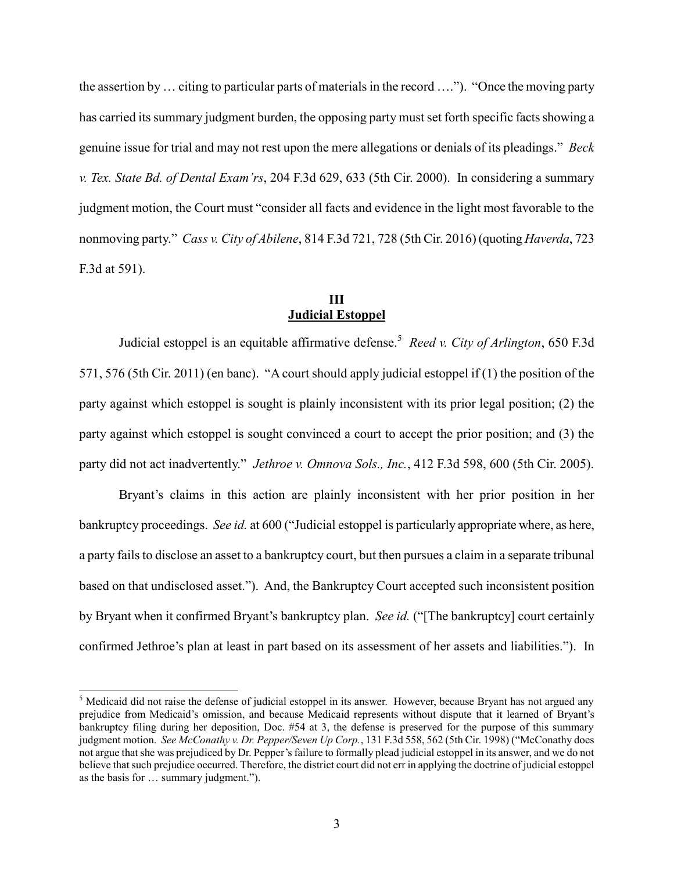the assertion by … citing to particular parts of materials in the record …."). "Once the moving party has carried its summary judgment burden, the opposing party must set forth specific facts showing a genuine issue for trial and may not rest upon the mere allegations or denials of its pleadings." *Beck v. Tex. State Bd. of Dental Exam'rs*, 204 F.3d 629, 633 (5th Cir. 2000). In considering a summary judgment motion, the Court must "consider all facts and evidence in the light most favorable to the nonmoving party." *Cass v. City of Abilene*, 814 F.3d 721, 728 (5th Cir. 2016) (quoting *Haverda*, 723 F.3d at 591).

# **III Judicial Estoppel**

Judicial estoppel is an equitable affirmative defense.<sup>5</sup> *Reed v. City of Arlington*, 650 F.3d 571, 576 (5th Cir. 2011) (en banc). "A court should apply judicial estoppel if (1) the position of the party against which estoppel is sought is plainly inconsistent with its prior legal position; (2) the party against which estoppel is sought convinced a court to accept the prior position; and (3) the party did not act inadvertently." *Jethroe v. Omnova Sols., Inc.*, 412 F.3d 598, 600 (5th Cir. 2005).

Bryant's claims in this action are plainly inconsistent with her prior position in her bankruptcy proceedings. *See id.* at 600 ("Judicial estoppel is particularly appropriate where, as here, a party fails to disclose an asset to a bankruptcy court, but then pursues a claim in a separate tribunal based on that undisclosed asset."). And, the Bankruptcy Court accepted such inconsistent position by Bryant when it confirmed Bryant's bankruptcy plan. *See id.* ("[The bankruptcy] court certainly confirmed Jethroe's plan at least in part based on its assessment of her assets and liabilities."). In

 $\overline{a}$ 

<sup>&</sup>lt;sup>5</sup> Medicaid did not raise the defense of judicial estoppel in its answer. However, because Bryant has not argued any prejudice from Medicaid's omission, and because Medicaid represents without dispute that it learned of Bryant's bankruptcy filing during her deposition, Doc. #54 at 3, the defense is preserved for the purpose of this summary judgment motion. *See McConathy v. Dr. Pepper/Seven Up Corp.*, 131 F.3d 558, 562 (5th Cir. 1998) ("McConathy does not argue that she was prejudiced by Dr. Pepper's failure to formally plead judicial estoppel in its answer, and we do not believe that such prejudice occurred. Therefore, the district court did not err in applying the doctrine of judicial estoppel as the basis for … summary judgment.").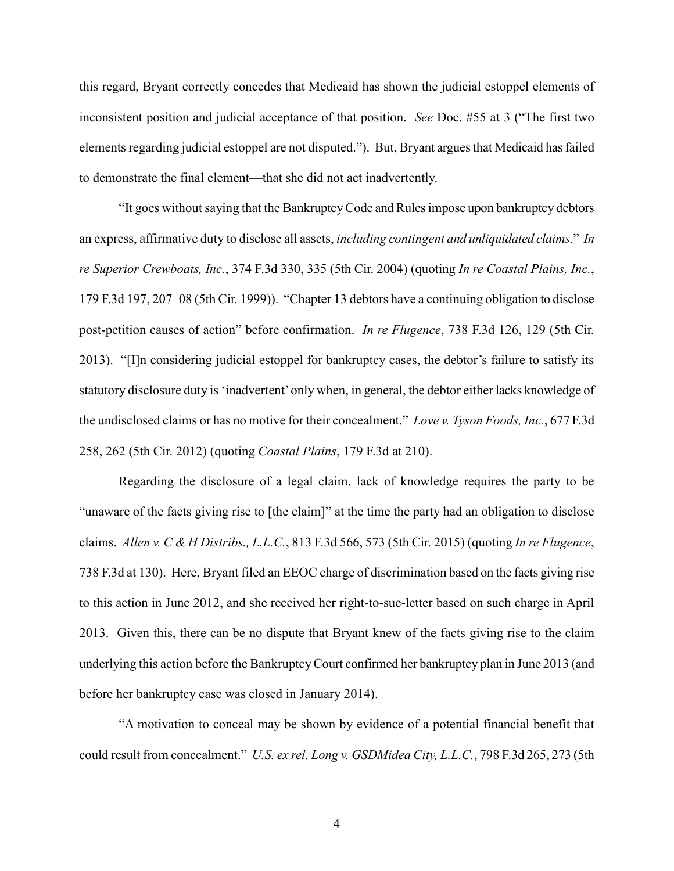this regard, Bryant correctly concedes that Medicaid has shown the judicial estoppel elements of inconsistent position and judicial acceptance of that position. *See* Doc. #55 at 3 ("The first two elements regarding judicial estoppel are not disputed."). But, Bryant argues that Medicaid has failed to demonstrate the final element—that she did not act inadvertently.

"It goes without saying that the Bankruptcy Code and Rules impose upon bankruptcy debtors an express, affirmative duty to disclose all assets, *including contingent and unliquidated claims*." *In re Superior Crewboats, Inc.*, 374 F.3d 330, 335 (5th Cir. 2004) (quoting *In re Coastal Plains, Inc.*, 179 F.3d 197, 207–08 (5th Cir. 1999)). "Chapter 13 debtors have a continuing obligation to disclose post-petition causes of action" before confirmation. *In re Flugence*, 738 F.3d 126, 129 (5th Cir. 2013). "[I]n considering judicial estoppel for bankruptcy cases, the debtor's failure to satisfy its statutory disclosure duty is 'inadvertent' only when, in general, the debtor either lacks knowledge of the undisclosed claims or has no motive for their concealment." *Love v. Tyson Foods, Inc.*, 677 F.3d 258, 262 (5th Cir. 2012) (quoting *Coastal Plains*, 179 F.3d at 210).

Regarding the disclosure of a legal claim, lack of knowledge requires the party to be "unaware of the facts giving rise to [the claim]" at the time the party had an obligation to disclose claims. *Allen v. C & H Distribs., L.L.C.*, 813 F.3d 566, 573 (5th Cir. 2015) (quoting *In re Flugence*, 738 F.3d at 130). Here, Bryant filed an EEOC charge of discrimination based on the facts giving rise to this action in June 2012, and she received her right-to-sue-letter based on such charge in April 2013. Given this, there can be no dispute that Bryant knew of the facts giving rise to the claim underlying this action before the Bankruptcy Court confirmed her bankruptcy plan in June 2013 (and before her bankruptcy case was closed in January 2014).

"A motivation to conceal may be shown by evidence of a potential financial benefit that could result from concealment." *U.S. ex rel. Long v. GSDMidea City, L.L.C.*, 798 F.3d 265, 273 (5th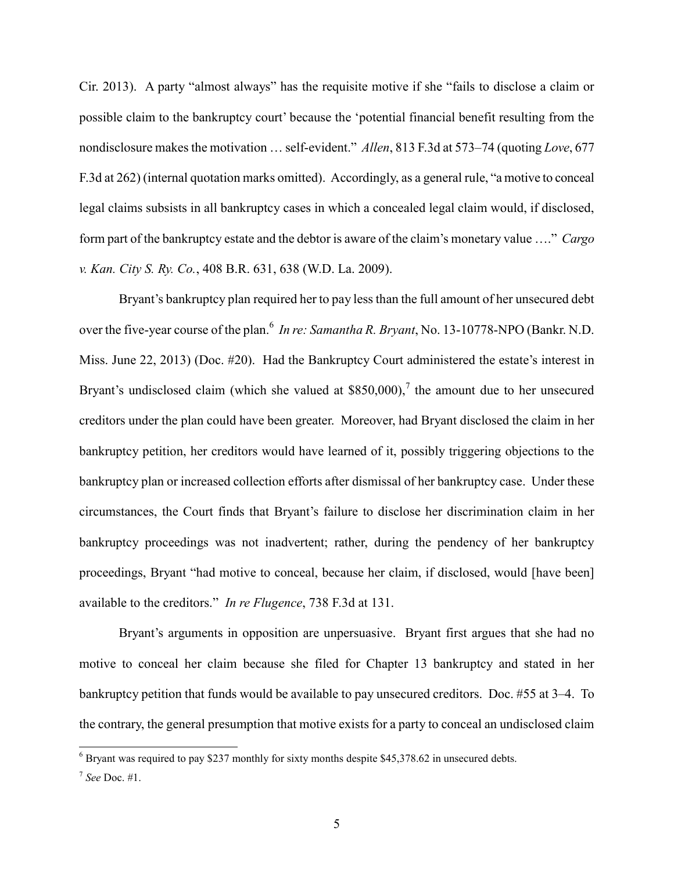Cir. 2013). A party "almost always" has the requisite motive if she "fails to disclose a claim or possible claim to the bankruptcy court' because the 'potential financial benefit resulting from the nondisclosure makes the motivation … self-evident." *Allen*, 813 F.3d at 573–74 (quoting *Love*, 677 F.3d at 262) (internal quotation marks omitted). Accordingly, as a general rule, "a motive to conceal legal claims subsists in all bankruptcy cases in which a concealed legal claim would, if disclosed, form part of the bankruptcy estate and the debtor is aware of the claim's monetary value …." *Cargo v. Kan. City S. Ry. Co.*, 408 B.R. 631, 638 (W.D. La. 2009).

Bryant's bankruptcy plan required her to pay less than the full amount of her unsecured debt over the five-year course of the plan.<sup>6</sup> In re: Samantha R. Bryant, No. 13-10778-NPO (Bankr. N.D.) Miss. June 22, 2013) (Doc. #20). Had the Bankruptcy Court administered the estate's interest in Bryant's undisclosed claim (which she valued at  $$850,000$ ),<sup>7</sup> the amount due to her unsecured creditors under the plan could have been greater. Moreover, had Bryant disclosed the claim in her bankruptcy petition, her creditors would have learned of it, possibly triggering objections to the bankruptcy plan or increased collection efforts after dismissal of her bankruptcy case. Under these circumstances, the Court finds that Bryant's failure to disclose her discrimination claim in her bankruptcy proceedings was not inadvertent; rather, during the pendency of her bankruptcy proceedings, Bryant "had motive to conceal, because her claim, if disclosed, would [have been] available to the creditors." *In re Flugence*, 738 F.3d at 131.

Bryant's arguments in opposition are unpersuasive. Bryant first argues that she had no motive to conceal her claim because she filed for Chapter 13 bankruptcy and stated in her bankruptcy petition that funds would be available to pay unsecured creditors. Doc. #55 at 3–4. To the contrary, the general presumption that motive exists for a party to conceal an undisclosed claim

 $\overline{a}$ 

<sup>&</sup>lt;sup>6</sup> Bryant was required to pay \$237 monthly for sixty months despite \$45,378.62 in unsecured debts.

<sup>7</sup> *See* Doc. #1.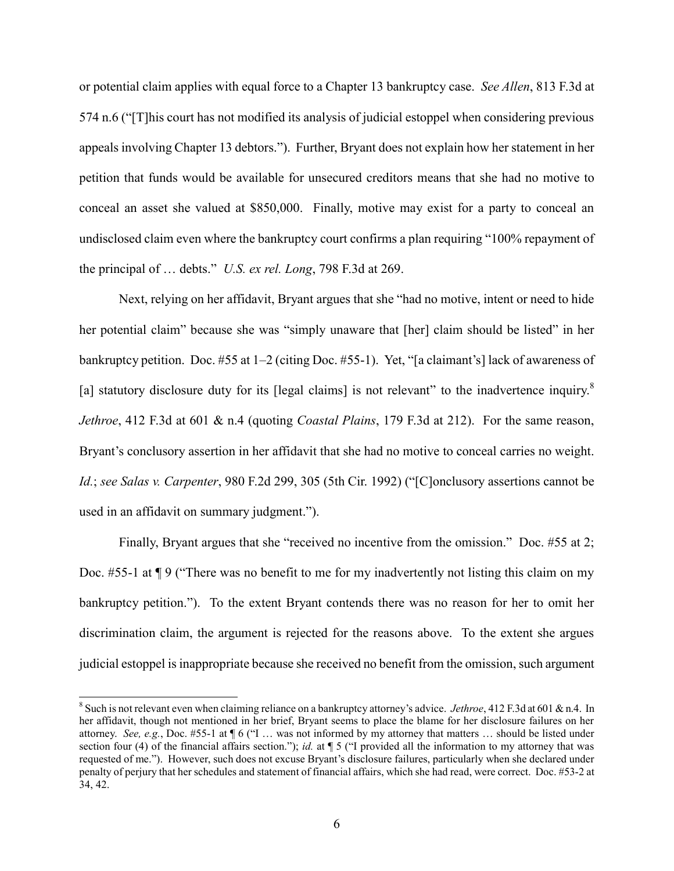or potential claim applies with equal force to a Chapter 13 bankruptcy case. *See Allen*, 813 F.3d at 574 n.6 ("[T]his court has not modified its analysis of judicial estoppel when considering previous appeals involving Chapter 13 debtors."). Further, Bryant does not explain how her statement in her petition that funds would be available for unsecured creditors means that she had no motive to conceal an asset she valued at \$850,000. Finally, motive may exist for a party to conceal an undisclosed claim even where the bankruptcy court confirms a plan requiring "100% repayment of the principal of … debts." *U.S. ex rel. Long*, 798 F.3d at 269.

Next, relying on her affidavit, Bryant argues that she "had no motive, intent or need to hide her potential claim" because she was "simply unaware that [her] claim should be listed" in her bankruptcy petition. Doc. #55 at 1–2 (citing Doc. #55-1). Yet, "[a claimant's] lack of awareness of [a] statutory disclosure duty for its [legal claims] is not relevant" to the inadvertence inquiry.<sup>8</sup> *Jethroe*, 412 F.3d at 601 & n.4 (quoting *Coastal Plains*, 179 F.3d at 212). For the same reason, Bryant's conclusory assertion in her affidavit that she had no motive to conceal carries no weight. *Id.*; *see Salas v. Carpenter*, 980 F.2d 299, 305 (5th Cir. 1992) ("[C]onclusory assertions cannot be used in an affidavit on summary judgment.").

Finally, Bryant argues that she "received no incentive from the omission." Doc. #55 at 2; Doc. #55-1 at ¶ 9 ("There was no benefit to me for my inadvertently not listing this claim on my bankruptcy petition."). To the extent Bryant contends there was no reason for her to omit her discrimination claim, the argument is rejected for the reasons above. To the extent she argues judicial estoppel is inappropriate because she received no benefit from the omission, such argument

 8 Such is not relevant even when claiming reliance on a bankruptcy attorney's advice. *Jethroe*, 412 F.3d at 601 & n.4. In her affidavit, though not mentioned in her brief, Bryant seems to place the blame for her disclosure failures on her attorney. *See, e.g.*, Doc. #55-1 at ¶ 6 ("I … was not informed by my attorney that matters … should be listed under section four (4) of the financial affairs section."); *id.* at ¶ 5 ("I provided all the information to my attorney that was requested of me."). However, such does not excuse Bryant's disclosure failures, particularly when she declared under penalty of perjury that her schedules and statement of financial affairs, which she had read, were correct. Doc. #53-2 at 34, 42.